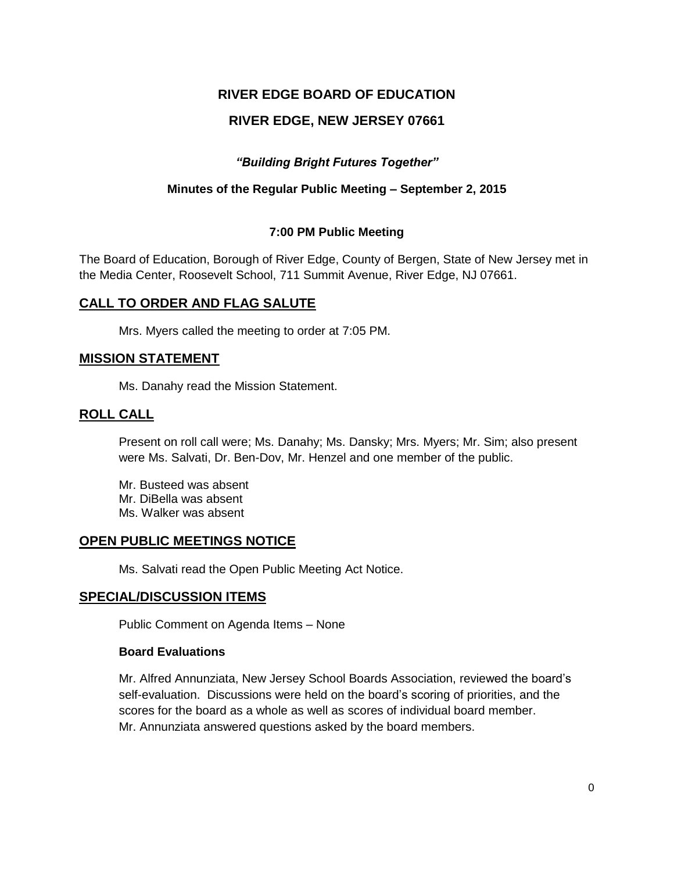# **RIVER EDGE BOARD OF EDUCATION**

# **RIVER EDGE, NEW JERSEY 07661**

### *"Building Bright Futures Together"*

### **Minutes of the Regular Public Meeting – September 2, 2015**

### **7:00 PM Public Meeting**

The Board of Education, Borough of River Edge, County of Bergen, State of New Jersey met in the Media Center, Roosevelt School, 711 Summit Avenue, River Edge, NJ 07661.

# **CALL TO ORDER AND FLAG SALUTE**

Mrs. Myers called the meeting to order at 7:05 PM.

### **MISSION STATEMENT**

Ms. Danahy read the Mission Statement.

### **ROLL CALL**

Present on roll call were; Ms. Danahy; Ms. Dansky; Mrs. Myers; Mr. Sim; also present were Ms. Salvati, Dr. Ben-Dov, Mr. Henzel and one member of the public.

Mr. Busteed was absent Mr. DiBella was absent Ms. Walker was absent

### **OPEN PUBLIC MEETINGS NOTICE**

Ms. Salvati read the Open Public Meeting Act Notice.

### **SPECIAL/DISCUSSION ITEMS**

Public Comment on Agenda Items – None

#### **Board Evaluations**

Mr. Alfred Annunziata, New Jersey School Boards Association, reviewed the board's self-evaluation. Discussions were held on the board's scoring of priorities, and the scores for the board as a whole as well as scores of individual board member. Mr. Annunziata answered questions asked by the board members.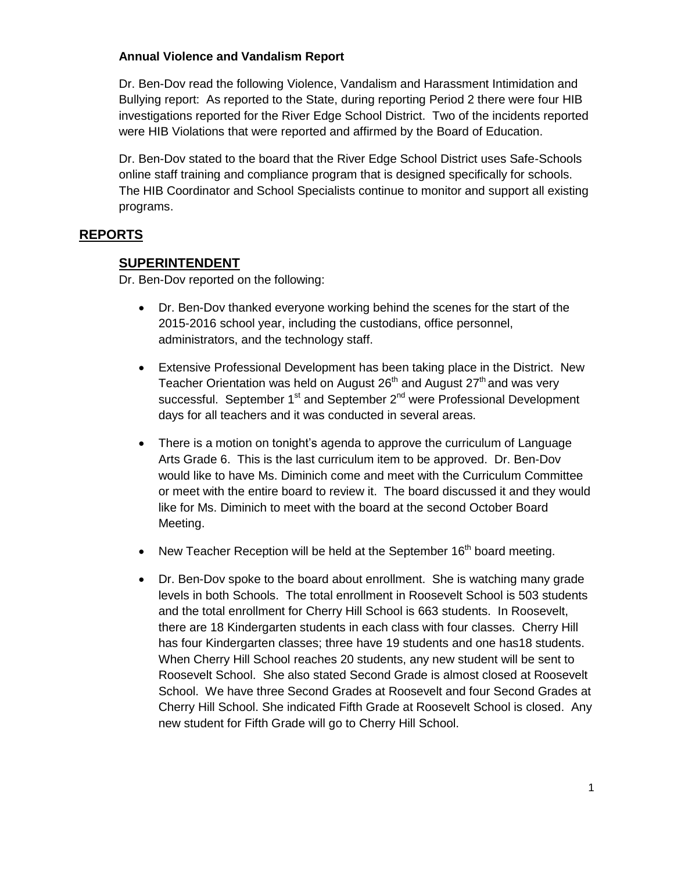### **Annual Violence and Vandalism Report**

Dr. Ben-Dov read the following Violence, Vandalism and Harassment Intimidation and Bullying report: As reported to the State, during reporting Period 2 there were four HIB investigations reported for the River Edge School District. Two of the incidents reported were HIB Violations that were reported and affirmed by the Board of Education.

Dr. Ben-Dov stated to the board that the River Edge School District uses Safe-Schools online staff training and compliance program that is designed specifically for schools. The HIB Coordinator and School Specialists continue to monitor and support all existing programs.

### **REPORTS**

### **SUPERINTENDENT**

Dr. Ben-Dov reported on the following:

- Dr. Ben-Dov thanked everyone working behind the scenes for the start of the 2015-2016 school year, including the custodians, office personnel, administrators, and the technology staff.
- Extensive Professional Development has been taking place in the District. New Teacher Orientation was held on August  $26<sup>th</sup>$  and August  $27<sup>th</sup>$  and was very successful. September  $1<sup>st</sup>$  and September  $2<sup>nd</sup>$  were Professional Development days for all teachers and it was conducted in several areas.
- There is a motion on tonight's agenda to approve the curriculum of Language Arts Grade 6. This is the last curriculum item to be approved. Dr. Ben-Dov would like to have Ms. Diminich come and meet with the Curriculum Committee or meet with the entire board to review it. The board discussed it and they would like for Ms. Diminich to meet with the board at the second October Board Meeting.
- New Teacher Reception will be held at the September 16<sup>th</sup> board meeting.
- Dr. Ben-Dov spoke to the board about enrollment. She is watching many grade levels in both Schools. The total enrollment in Roosevelt School is 503 students and the total enrollment for Cherry Hill School is 663 students. In Roosevelt, there are 18 Kindergarten students in each class with four classes. Cherry Hill has four Kindergarten classes; three have 19 students and one has18 students. When Cherry Hill School reaches 20 students, any new student will be sent to Roosevelt School. She also stated Second Grade is almost closed at Roosevelt School. We have three Second Grades at Roosevelt and four Second Grades at Cherry Hill School. She indicated Fifth Grade at Roosevelt School is closed. Any new student for Fifth Grade will go to Cherry Hill School.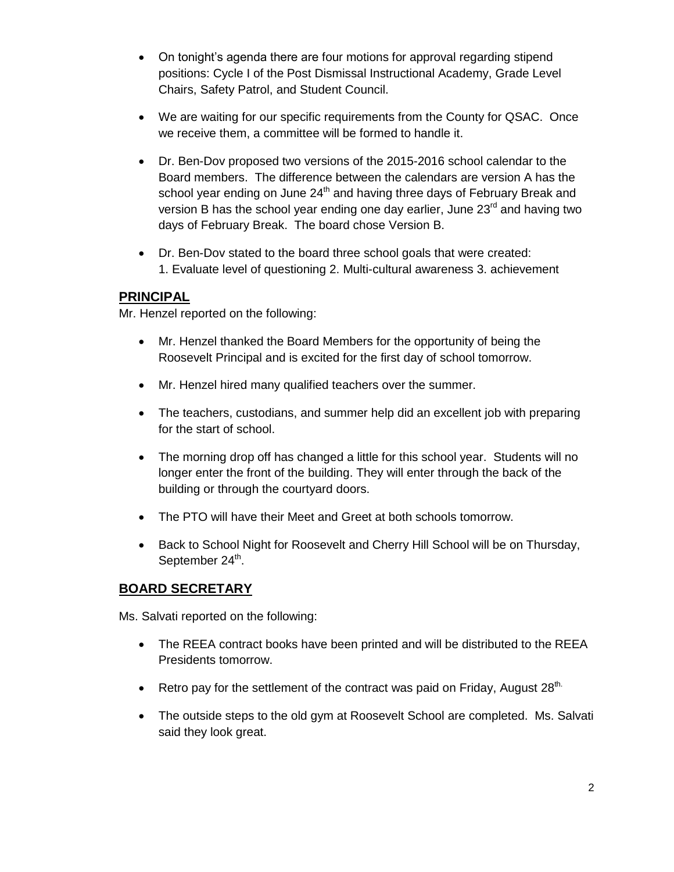- On tonight's agenda there are four motions for approval regarding stipend positions: Cycle I of the Post Dismissal Instructional Academy, Grade Level Chairs, Safety Patrol, and Student Council.
- We are waiting for our specific requirements from the County for QSAC. Once we receive them, a committee will be formed to handle it.
- Dr. Ben-Dov proposed two versions of the 2015-2016 school calendar to the Board members. The difference between the calendars are version A has the school year ending on June  $24<sup>th</sup>$  and having three days of February Break and version B has the school year ending one day earlier, June  $23<sup>rd</sup>$  and having two days of February Break. The board chose Version B.
- Dr. Ben-Dov stated to the board three school goals that were created: 1. Evaluate level of questioning 2. Multi-cultural awareness 3. achievement

# **PRINCIPAL**

Mr. Henzel reported on the following:

- Mr. Henzel thanked the Board Members for the opportunity of being the Roosevelt Principal and is excited for the first day of school tomorrow.
- Mr. Henzel hired many qualified teachers over the summer.
- The teachers, custodians, and summer help did an excellent job with preparing for the start of school.
- The morning drop off has changed a little for this school year. Students will no longer enter the front of the building. They will enter through the back of the building or through the courtyard doors.
- The PTO will have their Meet and Greet at both schools tomorrow.
- Back to School Night for Roosevelt and Cherry Hill School will be on Thursday, September 24<sup>th</sup>.

# **BOARD SECRETARY**

Ms. Salvati reported on the following:

- The REEA contract books have been printed and will be distributed to the REEA Presidents tomorrow.
- Retro pay for the settlement of the contract was paid on Friday, August  $28^{th}$ .
- The outside steps to the old gym at Roosevelt School are completed. Ms. Salvati said they look great.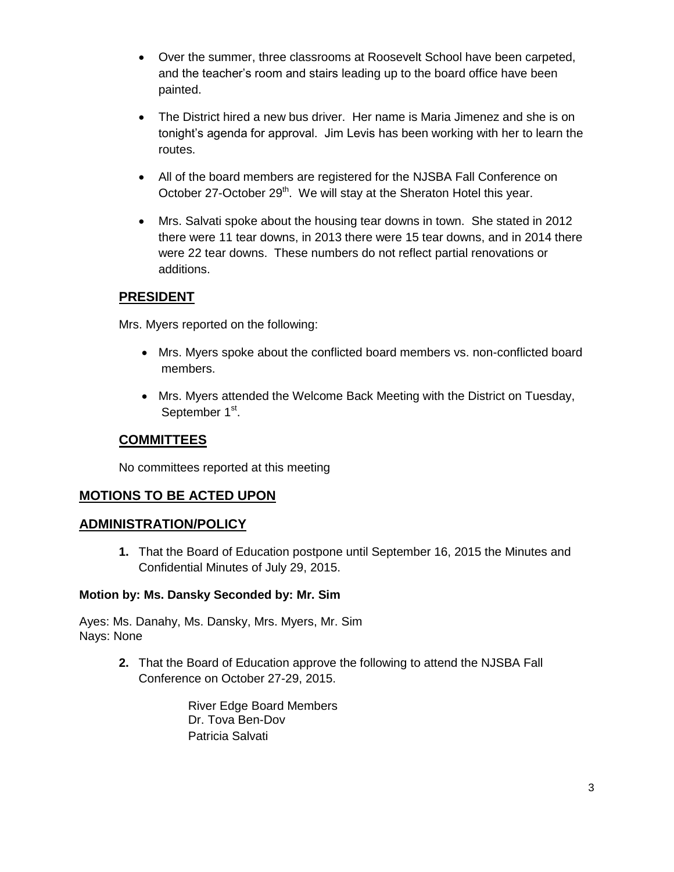- Over the summer, three classrooms at Roosevelt School have been carpeted, and the teacher's room and stairs leading up to the board office have been painted.
- The District hired a new bus driver. Her name is Maria Jimenez and she is on tonight's agenda for approval. Jim Levis has been working with her to learn the routes.
- All of the board members are registered for the NJSBA Fall Conference on October 27-October 29<sup>th</sup>. We will stay at the Sheraton Hotel this year.
- Mrs. Salvati spoke about the housing tear downs in town. She stated in 2012 there were 11 tear downs, in 2013 there were 15 tear downs, and in 2014 there were 22 tear downs. These numbers do not reflect partial renovations or additions.

# **PRESIDENT**

Mrs. Myers reported on the following:

- Mrs. Myers spoke about the conflicted board members vs. non-conflicted board members.
- Mrs. Myers attended the Welcome Back Meeting with the District on Tuesday, September 1<sup>st</sup>.

# **COMMITTEES**

No committees reported at this meeting

# **MOTIONS TO BE ACTED UPON**

# **ADMINISTRATION/POLICY**

**1.** That the Board of Education postpone until September 16, 2015 the Minutes and Confidential Minutes of July 29, 2015.

# **Motion by: Ms. Dansky Seconded by: Mr. Sim**

Ayes: Ms. Danahy, Ms. Dansky, Mrs. Myers, Mr. Sim Nays: None

> **2.** That the Board of Education approve the following to attend the NJSBA Fall Conference on October 27-29, 2015.

> > River Edge Board Members Dr. Tova Ben-Dov Patricia Salvati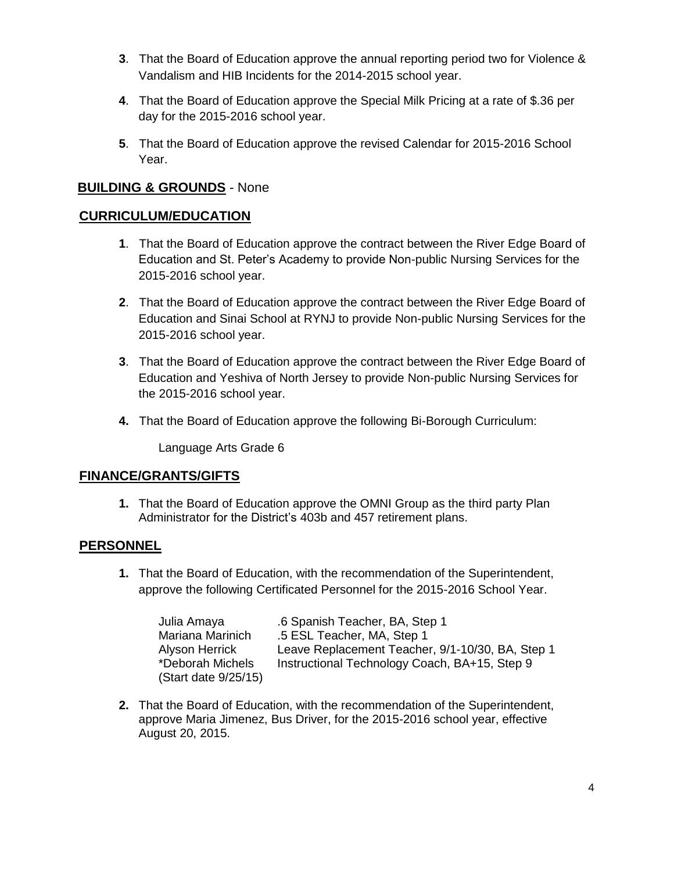- **3**. That the Board of Education approve the annual reporting period two for Violence & Vandalism and HIB Incidents for the 2014-2015 school year.
- **4**. That the Board of Education approve the Special Milk Pricing at a rate of \$.36 per day for the 2015-2016 school year.
- **5**. That the Board of Education approve the revised Calendar for 2015-2016 School Year.

# **BUILDING & GROUNDS** - None

# **CURRICULUM/EDUCATION**

- **1**. That the Board of Education approve the contract between the River Edge Board of Education and St. Peter's Academy to provide Non-public Nursing Services for the 2015-2016 school year.
- **2**. That the Board of Education approve the contract between the River Edge Board of Education and Sinai School at RYNJ to provide Non-public Nursing Services for the 2015-2016 school year.
- **3**. That the Board of Education approve the contract between the River Edge Board of Education and Yeshiva of North Jersey to provide Non-public Nursing Services for the 2015-2016 school year.
- **4.** That the Board of Education approve the following Bi-Borough Curriculum:

Language Arts Grade 6

# **FINANCE/GRANTS/GIFTS**

**1.** That the Board of Education approve the OMNI Group as the third party Plan Administrator for the District's 403b and 457 retirement plans.

# **PERSONNEL**

**1.** That the Board of Education, with the recommendation of the Superintendent, approve the following Certificated Personnel for the 2015-2016 School Year.

| Julia Amaya          | .6 Spanish Teacher, BA, Step 1                   |
|----------------------|--------------------------------------------------|
| Mariana Marinich     | .5 ESL Teacher, MA, Step 1                       |
| Alyson Herrick       | Leave Replacement Teacher, 9/1-10/30, BA, Step 1 |
| *Deborah Michels     | Instructional Technology Coach, BA+15, Step 9    |
| (Start date 9/25/15) |                                                  |

**2.** That the Board of Education, with the recommendation of the Superintendent, approve Maria Jimenez, Bus Driver, for the 2015-2016 school year, effective August 20, 2015.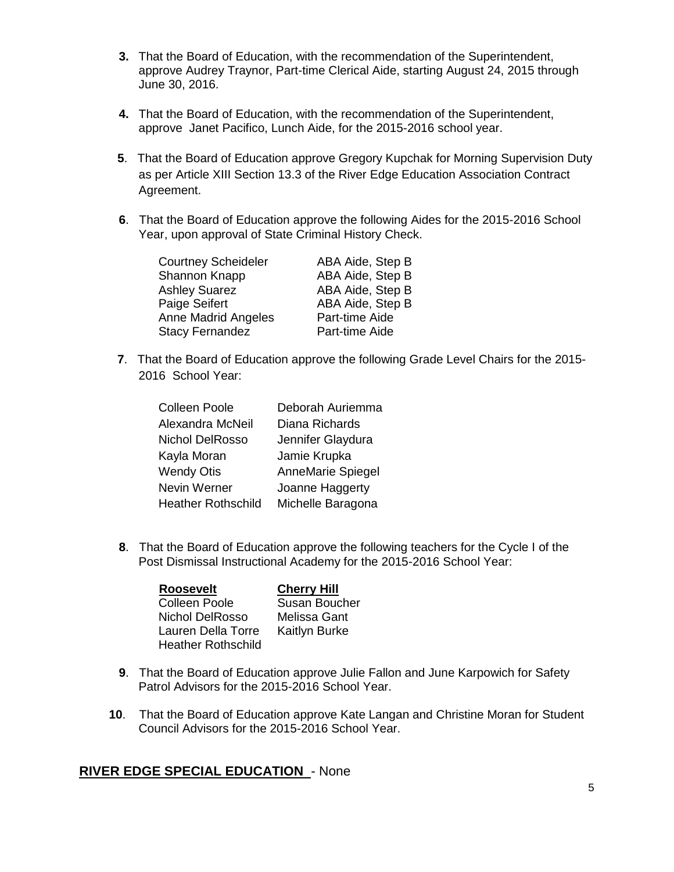- **3.** That the Board of Education, with the recommendation of the Superintendent, approve Audrey Traynor, Part-time Clerical Aide, starting August 24, 2015 through June 30, 2016.
- **4.** That the Board of Education, with the recommendation of the Superintendent, approve Janet Pacifico, Lunch Aide, for the 2015-2016 school year.
- **5**. That the Board of Education approve Gregory Kupchak for Morning Supervision Duty as per Article XIII Section 13.3 of the River Edge Education Association Contract Agreement.
- **6**. That the Board of Education approve the following Aides for the 2015-2016 School Year, upon approval of State Criminal History Check.

| <b>Courtney Scheideler</b> | ABA Aide, Step B |
|----------------------------|------------------|
| Shannon Knapp              | ABA Aide, Step B |
| <b>Ashley Suarez</b>       | ABA Aide, Step B |
| Paige Seifert              | ABA Aide, Step B |
| <b>Anne Madrid Angeles</b> | Part-time Aide   |
| <b>Stacy Fernandez</b>     | Part-time Aide   |

**7**. That the Board of Education approve the following Grade Level Chairs for the 2015- 2016 School Year:

| <b>Colleen Poole</b>      | Deborah Auriemma  |
|---------------------------|-------------------|
| Alexandra McNeil          | Diana Richards    |
| Nichol DelRosso           | Jennifer Glaydura |
| Kayla Moran               | Jamie Krupka      |
| <b>Wendy Otis</b>         | AnneMarie Spiegel |
| Nevin Werner              | Joanne Haggerty   |
| <b>Heather Rothschild</b> | Michelle Baragona |

**8**. That the Board of Education approve the following teachers for the Cycle I of the Post Dismissal Instructional Academy for the 2015-2016 School Year:

| <b>Roosevelt</b>          | <b>Cherry Hill</b>   |
|---------------------------|----------------------|
| <b>Colleen Poole</b>      | Susan Boucher        |
| Nichol DelRosso           | Melissa Gant         |
| Lauren Della Torre        | <b>Kaitlyn Burke</b> |
| <b>Heather Rothschild</b> |                      |

- **9**. That the Board of Education approve Julie Fallon and June Karpowich for Safety Patrol Advisors for the 2015-2016 School Year.
- **10**. That the Board of Education approve Kate Langan and Christine Moran for Student Council Advisors for the 2015-2016 School Year.

# **RIVER EDGE SPECIAL EDUCATION** - None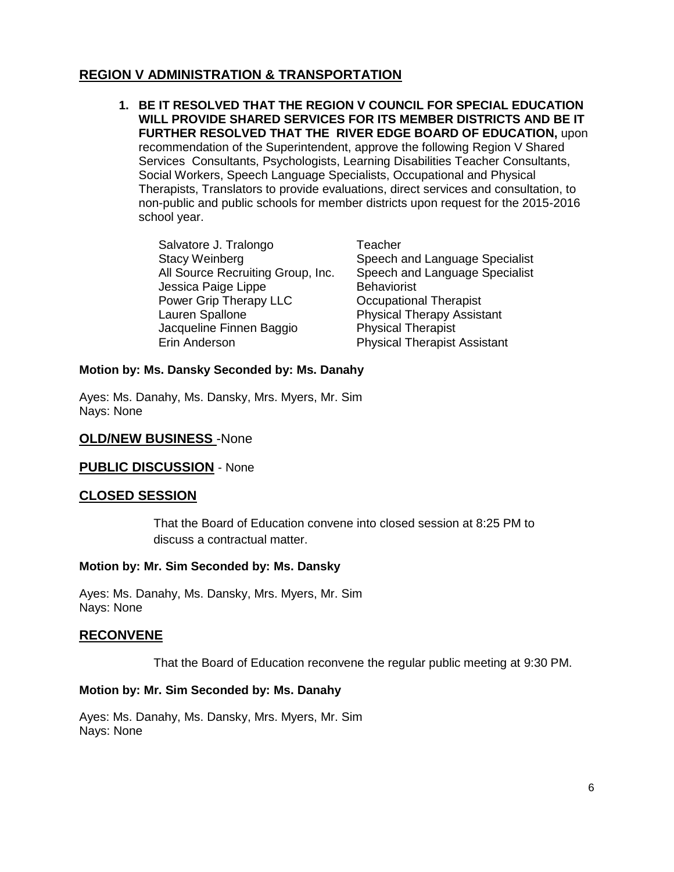# **REGION V ADMINISTRATION & TRANSPORTATION**

**1. BE IT RESOLVED THAT THE REGION V COUNCIL FOR SPECIAL EDUCATION WILL PROVIDE SHARED SERVICES FOR ITS MEMBER DISTRICTS AND BE IT FURTHER RESOLVED THAT THE RIVER EDGE BOARD OF EDUCATION,** upon recommendation of the Superintendent, approve the following Region V Shared Services Consultants, Psychologists, Learning Disabilities Teacher Consultants, Social Workers, Speech Language Specialists, Occupational and Physical Therapists, Translators to provide evaluations, direct services and consultation, to non-public and public schools for member districts upon request for the 2015-2016 school year.

Salvatore J. Tralongo Teacher All Source Recruiting Group, Inc. Jessica Paige Lippe Behaviorist Power Grip Therapy LLC **Communist** Occupational Therapist Lauren Spallone Physical Therapy Assistant Jacqueline Finnen Baggio Physical Therapist Erin Anderson Physical Therapist Assistant

Stacy Weinberg Stacy Weinberg<br>All Source Recruiting Group, Inc. Speech and Language Specialist

### **Motion by: Ms. Dansky Seconded by: Ms. Danahy**

Ayes: Ms. Danahy, Ms. Dansky, Mrs. Myers, Mr. Sim Nays: None

### **OLD/NEW BUSINESS** -None

#### **PUBLIC DISCUSSION** - None

### **CLOSED SESSION**

That the Board of Education convene into closed session at 8:25 PM to discuss a contractual matter.

#### **Motion by: Mr. Sim Seconded by: Ms. Dansky**

Ayes: Ms. Danahy, Ms. Dansky, Mrs. Myers, Mr. Sim Nays: None

### **RECONVENE**

That the Board of Education reconvene the regular public meeting at 9:30 PM.

#### **Motion by: Mr. Sim Seconded by: Ms. Danahy**

Ayes: Ms. Danahy, Ms. Dansky, Mrs. Myers, Mr. Sim Nays: None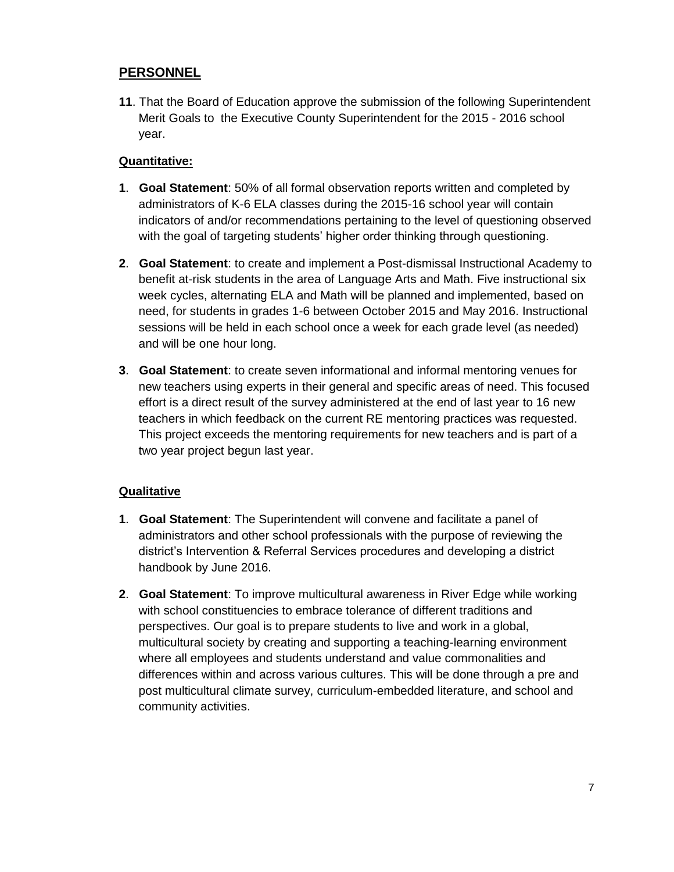# **PERSONNEL**

**11**. That the Board of Education approve the submission of the following Superintendent Merit Goals to the Executive County Superintendent for the 2015 - 2016 school year.

### **Quantitative:**

- **1**. **Goal Statement**: 50% of all formal observation reports written and completed by administrators of K-6 ELA classes during the 2015-16 school year will contain indicators of and/or recommendations pertaining to the level of questioning observed with the goal of targeting students' higher order thinking through questioning.
- **2**. **Goal Statement**: to create and implement a Post-dismissal Instructional Academy to benefit at-risk students in the area of Language Arts and Math. Five instructional six week cycles, alternating ELA and Math will be planned and implemented, based on need, for students in grades 1-6 between October 2015 and May 2016. Instructional sessions will be held in each school once a week for each grade level (as needed) and will be one hour long.
- **3**. **Goal Statement**: to create seven informational and informal mentoring venues for new teachers using experts in their general and specific areas of need. This focused effort is a direct result of the survey administered at the end of last year to 16 new teachers in which feedback on the current RE mentoring practices was requested. This project exceeds the mentoring requirements for new teachers and is part of a two year project begun last year.

# **Qualitative**

- **1**. **Goal Statement**: The Superintendent will convene and facilitate a panel of administrators and other school professionals with the purpose of reviewing the district's Intervention & Referral Services procedures and developing a district handbook by June 2016.
- **2**. **Goal Statement**: To improve multicultural awareness in River Edge while working with school constituencies to embrace tolerance of different traditions and perspectives. Our goal is to prepare students to live and work in a global, multicultural society by creating and supporting a teaching-learning environment where all employees and students understand and value commonalities and differences within and across various cultures. This will be done through a pre and post multicultural climate survey, curriculum-embedded literature, and school and community activities.